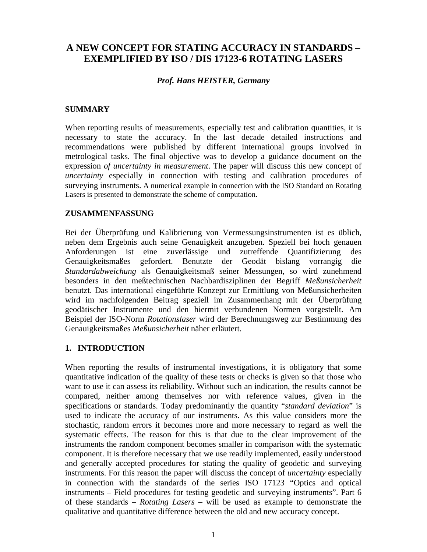# **A NEW CONCEPT FOR STATING ACCURACY IN STANDARDS – EXEMPLIFIED BY ISO / DIS 17123-6 ROTATING LASERS**

## *Prof. Hans HEISTER, Germany*

## **SUMMARY**

When reporting results of measurements, especially test and calibration quantities, it is necessary to state the accuracy. In the last decade detailed instructions and recommendations were published by different international groups involved in metrological tasks. The final objective was to develop a guidance document on the expression *of uncertainty in measurement*. The paper will discuss this new concept of *uncertainty* especially in connection with testing and calibration procedures of surveying instruments. A numerical example in connection with the ISO Standard on Rotating Lasers is presented to demonstrate the scheme of computation.

#### **ZUSAMMENFASSUNG**

Bei der Überprüfung und Kalibrierung von Vermessungsinstrumenten ist es üblich, neben dem Ergebnis auch seine Genauigkeit anzugeben. Speziell bei hoch genauen Anforderungen ist eine zuverlässige und zutreffende Quantifizierung des Genauigkeitsmaßes gefordert. Benutzte der Geodät bislang vorrangig die *Standardabweichung* als Genauigkeitsmaß seiner Messungen, so wird zunehmend besonders in den meßtechnischen Nachbardisziplinen der Begriff *Meßunsicherheit* benutzt. Das international eingeführte Konzept zur Ermittlung von Meßunsicherheiten wird im nachfolgenden Beitrag speziell im Zusammenhang mit der Überprüfung geodätischer Instrumente und den hiermit verbundenen Normen vorgestellt. Am Beispiel der ISO-Norm *Rotationslaser* wird der Berechnungsweg zur Bestimmung des Genauigkeitsmaßes *Meßunsicherheit* näher erläutert.

#### **1. INTRODUCTION**

When reporting the results of instrumental investigations, it is obligatory that some quantitative indication of the quality of these tests or checks is given so that those who want to use it can assess its reliability. Without such an indication, the results cannot be compared, neither among themselves nor with reference values, given in the specifications or standards. Today predominantly the quantity "*standard deviation*" is used to indicate the accuracy of our instruments. As this value considers more the stochastic, random errors it becomes more and more necessary to regard as well the systematic effects. The reason for this is that due to the clear improvement of the instruments the random component becomes smaller in comparison with the systematic component. It is therefore necessary that we use readily implemented, easily understood and generally accepted procedures for stating the quality of geodetic and surveying instruments. For this reason the paper will discuss the concept of *uncertainty* especially in connection with the standards of the series ISO 17123 "Optics and optical instruments – Field procedures for testing geodetic and surveying instruments". Part 6 of these standards – *Rotating Lasers* – will be used as example to demonstrate the qualitative and quantitative difference between the old and new accuracy concept.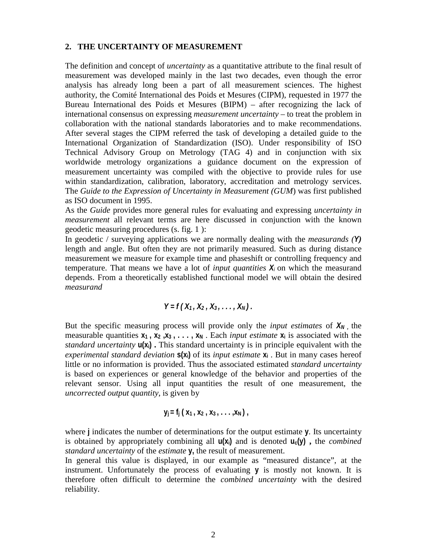#### **2. THE UNCERTAINTY OF MEASUREMENT**

The definition and concept of *uncertainty* as a quantitative attribute to the final result of measurement was developed mainly in the last two decades, even though the error analysis has already long been a part of all measurement sciences. The highest authority, the Comité International des Poids et Mesures (CIPM), requested in 1977 the Bureau International des Poids et Mesures (BIPM) – after recognizing the lack of international consensus on expressing *measurement uncertainty* – to treat the problem in collaboration with the national standards laboratories and to make recommendations. After several stages the CIPM referred the task of developing a detailed guide to the International Organization of Standardization (ISO). Under responsibility of ISO Technical Advisory Group on Metrology (TAG 4) and in conjunction with six worldwide metrology organizations a guidance document on the expression of measurement uncertainty was compiled with the objective to provide rules for use within standardization, calibration, laboratory, accreditation and metrology services. The *Guide to the Expression of Uncertainty in Measurement (GUM*) was first published as ISO document in 1995.

As the *Guide* provides more general rules for evaluating and expressing *uncertainty in measurement* all relevant terms are here discussed in conjunction with the known geodetic measuring procedures (s. fig. 1 ):

In geodetic / surveying applications we are normally dealing with the *measurands (Y)* length and angle. But often they are not primarily measured. Such as during distance measurement we measure for example time and phaseshift or controlling frequency and temperature. That means we have a lot of *input quantities*  $X_i$  on which the measurand depends. From a theoretically established functional model we will obtain the desired *measurand*

## $Y = f(X_1, X_2, X_3, \ldots, X_N)$ .

But the specific measuring process will provide only the *input estimates* of  $X_N$ , the measurable quantities  $x_1$ ,  $x_2$ ,  $x_3$ ,  $\dots$ ,  $x_N$ . Each *input estimate*  $x_i$  is associated with the *standard uncertainty* **u(xi) .** This standard uncertainty is in principle equivalent with the *experimental standard deviation* **s(xi)** of its *input estimate* **xi** . But in many cases hereof little or no information is provided. Thus the associated estimated *standard uncertainty* is based on experiences or general knowledge of the behavior and properties of the relevant sensor. Using all input quantities the result of one measurement, the *uncorrected output quantity*, is given by

$$
y_j = f_j(x_1, x_2, x_3, \ldots, x_N)
$$

where **j** indicates the number of determinations for the output estimate **y**. Its uncertainty is obtained by appropriately combining all **u(xi)** and is denoted **uc(y) ,** the *combined standard uncertainty* of the *estimate* **y,** the result of measurement.

In general this value is displayed, in our example as "measured distance", at the instrument. Unfortunately the process of evaluating **y** is mostly not known. It is therefore often difficult to determine the *combined uncertainty* with the desired reliability.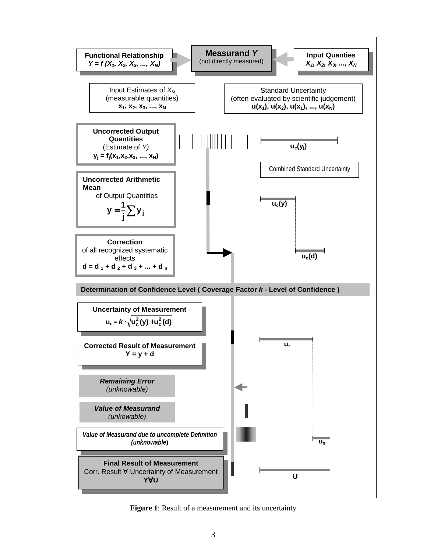

**Figure 1**: Result of a measurement and its uncertainty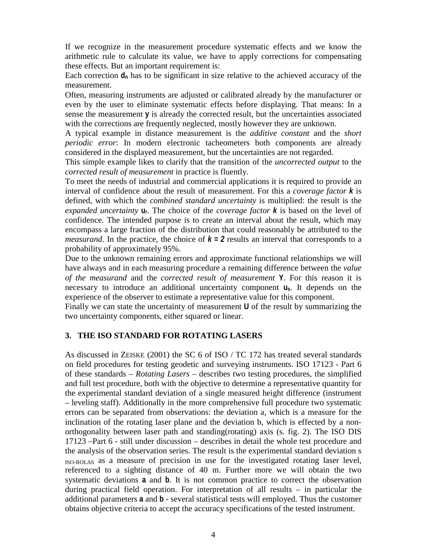If we recognize in the measurement procedure systematic effects and we know the arithmetic rule to calculate its value, we have to apply corrections for compensating these effects. But an important requirement is:

Each correction  $d_n$  has to be significant in size relative to the achieved accuracy of the measurement.

Often, measuring instruments are adjusted or calibrated already by the manufacturer or even by the user to eliminate systematic effects before displaying. That means: In a sense the measurement **y** is already the corrected result, but the uncertainties associated with the corrections are frequently neglected, mostly however they are unknown.

A typical example in distance measurement is the *additive constant* and the *short periodic error*: In modern electronic tacheometers both components are already considered in the displayed measurement, but the uncertainties are not regarded.

This simple example likes to clarify that the transition of the *uncorrected output* to the *corrected result of measurement* in practice is fluently.

To meet the needs of industrial and commercial applications it is required to provide an interval of confidence about the result of measurement. For this a *coverage factor k* is defined, with which the *combined standard uncertainty* is multiplied: the result is the *expanded uncertainty* **ur**. The choice of the *coverage factor k* is based on the level of confidence. The intended purpose is to create an interval about the result, which may encompass a large fraction of the distribution that could reasonably be attributed to the *measurand*. In the practice, the choice of  $k = 2$  results an interval that corresponds to a probability of approximately 95%.

Due to the unknown remaining errors and approximate functional relationships we will have always and in each measuring procedure a remaining difference between the *value of the measurand* and the *corrected result of measurement* **Y**. For this reason it is necessary to introduce an additional uncertainty component **us**. It depends on the experience of the observer to estimate a representative value for this component.

Finally we can state the uncertainty of measurement **U** of the result by summarizing the two uncertainty components, either squared or linear.

## **3. THE ISO STANDARD FOR ROTATING LASERS**

As discussed in ZEISKE (2001) the SC 6 of ISO / TC 172 has treated several standards on field procedures for testing geodetic and surveying instruments. ISO 17123 - Part 6 of these standards – *Rotating Lasers* – describes two testing procedures, the simplified and full test procedure, both with the objective to determine a representative quantity for the experimental standard deviation of a single measured height difference (instrument – leveling staff). Additionally in the more comprehensive full procedure two systematic errors can be separated from observations: the deviation a, which is a measure for the inclination of the rotating laser plane and the deviation b, which is effected by a nonorthogonality between laser path and standing(rotating) axis (s. fig. 2). The ISO DIS 17123 –Part 6 - still under discussion – describes in detail the whole test procedure and the analysis of the observation series. The result is the experimental standard deviation s ISO-ROLAS as a measure of precision in use for the investigated rotating laser level, referenced to a sighting distance of 40 m. Further more we will obtain the two systematic deviations **a** and **b**. It is not common practice to correct the observation during practical field operation. For interpretation of all results – in particular the additional parameters **a** and **b** - several statistical tests will employed. Thus the customer obtains objective criteria to accept the accuracy specifications of the tested instrument.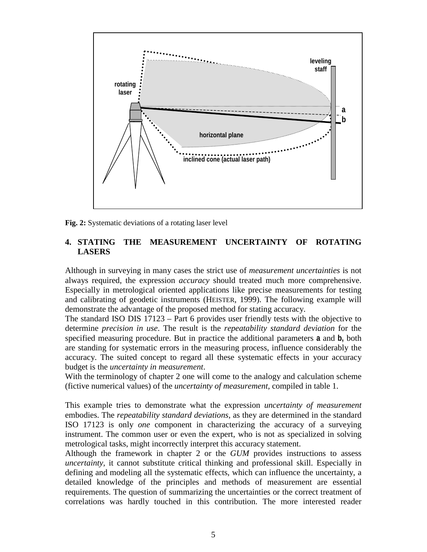

**Fig. 2:** Systematic deviations of a rotating laser level

# **4. STATING THE MEASUREMENT UNCERTAINTY OF ROTATING LASERS**

Although in surveying in many cases the strict use of *measurement uncertainties* is not always required, the expression *accuracy* should treated much more comprehensive. Especially in metrological oriented applications like precise measurements for testing and calibrating of geodetic instruments (HEISTER, 1999). The following example will demonstrate the advantage of the proposed method for stating accuracy.

The standard ISO DIS 17123 – Part 6 provides user friendly tests with the objective to determine *precision in use*. The result is the *repeatability standard deviation* for the specified measuring procedure. But in practice the additional parameters **a** and **b,** both are standing for systematic errors in the measuring process, influence considerably the accuracy. The suited concept to regard all these systematic effects in your accuracy budget is the *uncertainty in measurement*.

With the terminology of chapter 2 one will come to the analogy and calculation scheme (fictive numerical values) of the *uncertainty of measurement,* compiled in table 1.

This example tries to demonstrate what the expression *uncertainty of measurement* embodies. The *repeatability standard deviations*, as they are determined in the standard ISO 17123 is only *one* component in characterizing the accuracy of a surveying instrument. The common user or even the expert, who is not as specialized in solving metrological tasks, might incorrectly interpret this accuracy statement.

Although the framework in chapter 2 or the *GUM* provides instructions to assess *uncertainty,* it cannot substitute critical thinking and professional skill. Especially in defining and modeling all the systematic effects, which can influence the uncertainty, a detailed knowledge of the principles and methods of measurement are essential requirements. The question of summarizing the uncertainties or the correct treatment of correlations was hardly touched in this contribution. The more interested reader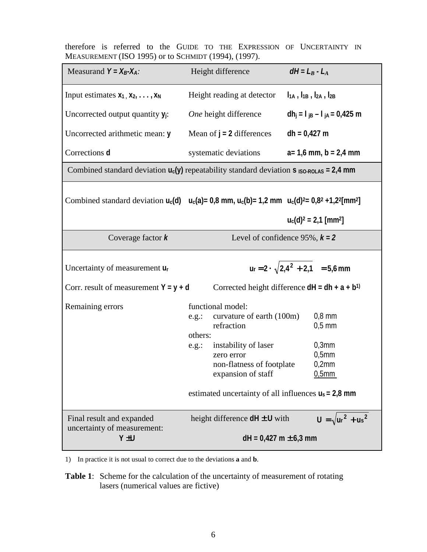|                                                      |  |  |  |  |  |  |  |  |  | therefore is referred to the GUIDE TO THE EXPRESSION OF UNCERTAINTY IN |  |
|------------------------------------------------------|--|--|--|--|--|--|--|--|--|------------------------------------------------------------------------|--|
| MEASUREMENT (ISO 1995) or to SCHMIDT (1994), (1997). |  |  |  |  |  |  |  |  |  |                                                                        |  |

| Measurand $Y = X_B - X_A$ :                                                                                                                                    | Height difference                                                                                                                                                                                                                            | $dH = L_B - L_A$                                                  |  |  |  |  |  |  |  |
|----------------------------------------------------------------------------------------------------------------------------------------------------------------|----------------------------------------------------------------------------------------------------------------------------------------------------------------------------------------------------------------------------------------------|-------------------------------------------------------------------|--|--|--|--|--|--|--|
| Input estimates $x_1, x_2, \ldots, x_N$                                                                                                                        | Height reading at detector                                                                                                                                                                                                                   | $I_{1A}$ , $I_{1B}$ , $I_{2A}$ , $I_{2B}$                         |  |  |  |  |  |  |  |
| Uncorrected output quantity $y_i$ :                                                                                                                            | One height difference                                                                                                                                                                                                                        | dh <sub>j</sub> = $I_{jB} - I_{jA} = 0.425$ m                     |  |  |  |  |  |  |  |
| Uncorrected arithmetic mean: y                                                                                                                                 | Mean of $j = 2$ differences                                                                                                                                                                                                                  | $dh = 0,427$ m                                                    |  |  |  |  |  |  |  |
| Corrections d                                                                                                                                                  | systematic deviations                                                                                                                                                                                                                        | $a=1,6$ mm, $b=2,4$ mm                                            |  |  |  |  |  |  |  |
| Combined standard deviation $u_c(y)$ repeatability standard deviation S ISO-ROLAS = 2,4 mm                                                                     |                                                                                                                                                                                                                                              |                                                                   |  |  |  |  |  |  |  |
| Combined standard deviation $u_c(d)$ $u_c(a) = 0.8$ mm, $u_c(b) = 1.2$ mm $u_c(d)^2 = 0.8^2 + 1.2^2$ [mm <sup>2</sup> ]<br>$u_c(d)^2 = 2.1$ [mm <sup>2</sup> ] |                                                                                                                                                                                                                                              |                                                                   |  |  |  |  |  |  |  |
| Coverage factor $k$                                                                                                                                            | Level of confidence 95%, $k = 2$                                                                                                                                                                                                             |                                                                   |  |  |  |  |  |  |  |
| Uncertainty of measurement $u_r$                                                                                                                               | $ur = 2 \cdot \sqrt{2.4^2 + 2.1} = 5.6$ mm                                                                                                                                                                                                   |                                                                   |  |  |  |  |  |  |  |
| Corr. result of measurement $Y = y + d$                                                                                                                        | Corrected height difference $dH = dh + a + b^{1}$                                                                                                                                                                                            |                                                                   |  |  |  |  |  |  |  |
| Remaining errors                                                                                                                                               | functional model:<br>curvature of earth (100m)<br>e.g.:<br>refraction<br>others:<br>instability of laser<br>e.g.:<br>zero error<br>non-flatness of footplate<br>expansion of staff<br>estimated uncertainty of all influences $u_s = 2.8$ mm | $0,8$ mm<br>$0,5$ mm<br>$0,3$ mm<br>$0,5$ mm<br>0,2mm<br>$0,5$ mm |  |  |  |  |  |  |  |
| Final result and expanded<br>uncertainty of measurement:                                                                                                       | height difference $dH \pm U$ with                                                                                                                                                                                                            | $U = \sqrt{ur^2 + us^2}$                                          |  |  |  |  |  |  |  |
| Y <sub>±U</sub>                                                                                                                                                | $dH = 0,427$ m $\pm$ 6,3 mm                                                                                                                                                                                                                  |                                                                   |  |  |  |  |  |  |  |

1) In practice it is not usual to correct due to the deviations **a** and **b**.

**Table 1**: Scheme for the calculation of the uncertainty of measurement of rotating lasers (numerical values are fictive)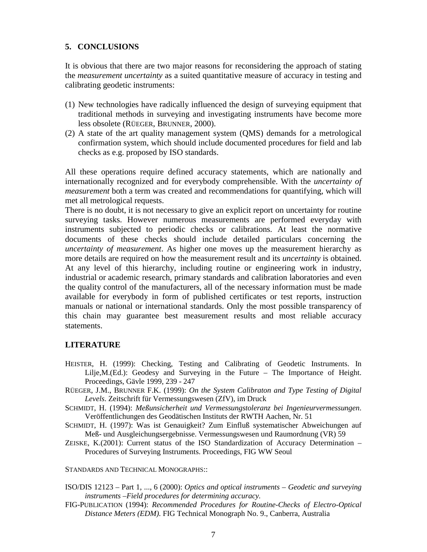## **5. CONCLUSIONS**

It is obvious that there are two major reasons for reconsidering the approach of stating the *measurement uncertainty* as a suited quantitative measure of accuracy in testing and calibrating geodetic instruments:

- (1) New technologies have radically influenced the design of surveying equipment that traditional methods in surveying and investigating instruments have become more less obsolete (RÜEGER, BRUNNER, 2000).
- (2) A state of the art quality management system (QMS) demands for a metrological confirmation system, which should include documented procedures for field and lab checks as e.g. proposed by ISO standards.

All these operations require defined accuracy statements, which are nationally and internationally recognized and for everybody comprehensible. With the *uncertainty of measurement* both a term was created and recommendations for quantifying, which will met all metrological requests.

There is no doubt, it is not necessary to give an explicit report on uncertainty for routine surveying tasks. However numerous measurements are performed everyday with instruments subjected to periodic checks or calibrations. At least the normative documents of these checks should include detailed particulars concerning the *uncertainty of measurement*. As higher one moves up the measurement hierarchy as more details are required on how the measurement result and its *uncertainty* is obtained. At any level of this hierarchy, including routine or engineering work in industry, industrial or academic research, primary standards and calibration laboratories and even the quality control of the manufacturers, all of the necessary information must be made available for everybody in form of published certificates or test reports, instruction manuals or national or international standards. Only the most possible transparency of this chain may guarantee best measurement results and most reliable accuracy statements.

# **LITERATURE**

- HEISTER, H. (1999): Checking, Testing and Calibrating of Geodetic Instruments. In Lilje,M.(Ed.): Geodesy and Surveying in the Future – The Importance of Height. Proceedings, Gävle 1999, 239 - 247
- RÜEGER, J.M., BRUNNER F.K. (1999): *On the System Calibraton and Type Testing of Digital Levels*. Zeitschrift für Vermessungswesen (ZfV), im Druck
- SCHMIDT, H. (1994): *Meßunsicherheit und Vermessungstoleranz bei Ingenieurvermessungen*. Veröffentlichungen des Geodätischen Instituts der RWTH Aachen, Nr. 51
- SCHMIDT, H. (1997): Was ist Genauigkeit? Zum Einfluß systematischer Abweichungen auf Meß- und Ausgleichungsergebnisse. Vermessungswesen und Raumordnung (VR) 59
- ZEISKE, K.(2001): Current status of the ISO Standardization of Accuracy Determination Procedures of Surveying Instruments. Proceedings, FIG WW Seoul

STANDARDS AND TECHNICAL MONOGRAPHS::

ISO/DIS 12123 – Part 1, ..., 6 (2000): *Optics and optical instruments – Geodetic and surveying instruments –Field procedures for determining accuracy.*

FIG-PUBLICATION (1994): *Recommended Procedures for Routine-Checks of Electro-Optical Distance Meters (EDM).* FIG Technical Monograph No. 9., Canberra, Australia